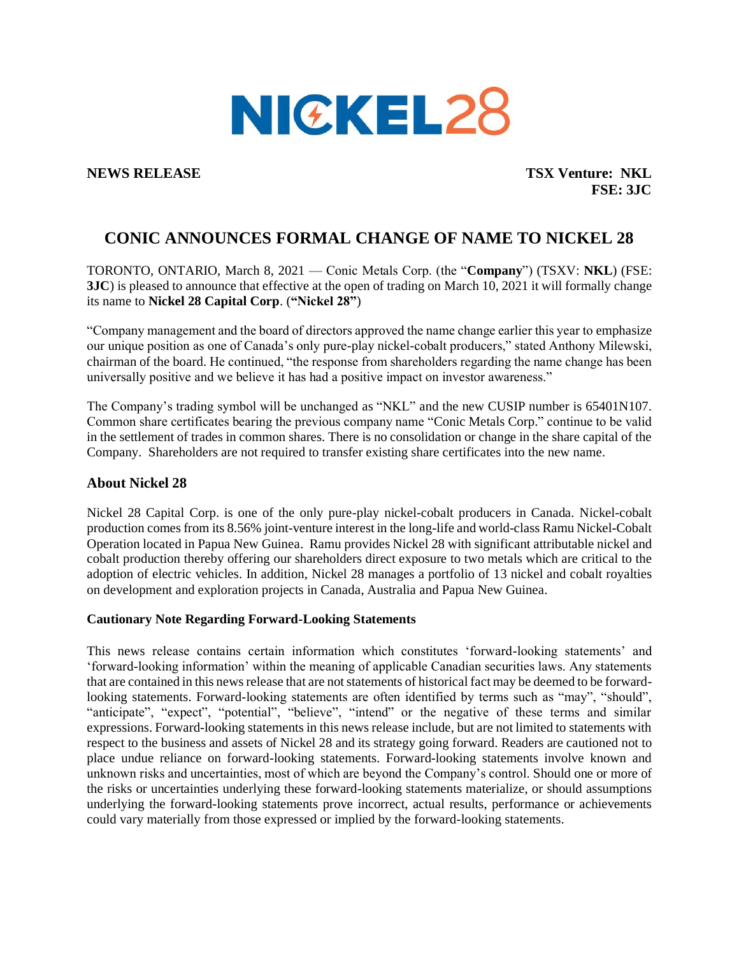

**NEWS RELEASE TSX Venture: NKL FSE: 3JC**

## **CONIC ANNOUNCES FORMAL CHANGE OF NAME TO NICKEL 28**

TORONTO, ONTARIO, March 8, 2021 — Conic Metals Corp. (the "**Company**") (TSXV: **NKL**) (FSE: **3JC**) is pleased to announce that effective at the open of trading on March 10, 2021 it will formally change its name to **Nickel 28 Capital Corp**. (**"Nickel 28"**)

"Company management and the board of directors approved the name change earlier this year to emphasize our unique position as one of Canada's only pure-play nickel-cobalt producers," stated Anthony Milewski, chairman of the board. He continued, "the response from shareholders regarding the name change has been universally positive and we believe it has had a positive impact on investor awareness."

The Company's trading symbol will be unchanged as "NKL" and the new CUSIP number is 65401N107. Common share certificates bearing the previous company name "Conic Metals Corp." continue to be valid in the settlement of trades in common shares. There is no consolidation or change in the share capital of the Company. Shareholders are not required to transfer existing share certificates into the new name.

## **About Nickel 28**

Nickel 28 Capital Corp. is one of the only pure-play nickel-cobalt producers in Canada. Nickel-cobalt production comes from its 8.56% joint-venture interest in the long-life and world-class Ramu Nickel-Cobalt Operation located in Papua New Guinea. Ramu provides Nickel 28 with significant attributable nickel and cobalt production thereby offering our shareholders direct exposure to two metals which are critical to the adoption of electric vehicles. In addition, Nickel 28 manages a portfolio of 13 nickel and cobalt royalties on development and exploration projects in Canada, Australia and Papua New Guinea.

## **Cautionary Note Regarding Forward-Looking Statements**

This news release contains certain information which constitutes 'forward-looking statements' and 'forward-looking information' within the meaning of applicable Canadian securities laws. Any statements that are contained in this news release that are not statements of historical fact may be deemed to be forwardlooking statements. Forward-looking statements are often identified by terms such as "may", "should", "anticipate", "expect", "potential", "believe", "intend" or the negative of these terms and similar expressions. Forward-looking statements in this news release include, but are not limited to statements with respect to the business and assets of Nickel 28 and its strategy going forward. Readers are cautioned not to place undue reliance on forward-looking statements. Forward-looking statements involve known and unknown risks and uncertainties, most of which are beyond the Company's control. Should one or more of the risks or uncertainties underlying these forward-looking statements materialize, or should assumptions underlying the forward-looking statements prove incorrect, actual results, performance or achievements could vary materially from those expressed or implied by the forward-looking statements.